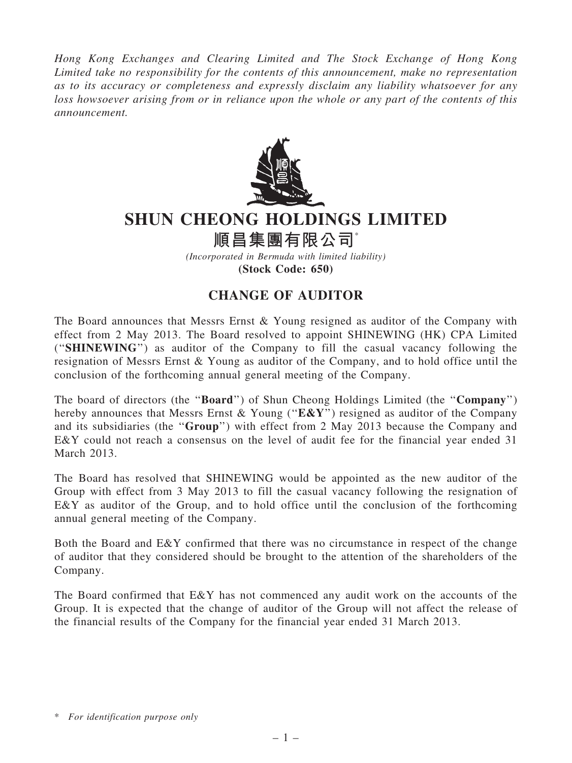Hong Kong Exchanges and Clearing Limited and The Stock Exchange of Hong Kong Limited take no responsibility for the contents of this announcement, make no representation as to its accuracy or completeness and expressly disclaim any liability whatsoever for any loss howsoever arising from or in reliance upon the whole or any part of the contents of this announcement.



## SHUN CHEONG HOLDINGS LIMITED

順昌集團有限公司\*

(Incorporated in Bermuda with limited liability) (Stock Code: 650)

## CHANGE OF AUDITOR

The Board announces that Messrs Ernst & Young resigned as auditor of the Company with effect from 2 May 2013. The Board resolved to appoint SHINEWING (HK) CPA Limited (''SHINEWING'') as auditor of the Company to fill the casual vacancy following the resignation of Messrs Ernst & Young as auditor of the Company, and to hold office until the conclusion of the forthcoming annual general meeting of the Company.

The board of directors (the "**Board**") of Shun Cheong Holdings Limited (the "**Company**") hereby announces that Messrs Ernst & Young (" $E\&Y$ ") resigned as auditor of the Company and its subsidiaries (the ''Group'') with effect from 2 May 2013 because the Company and E&Y could not reach a consensus on the level of audit fee for the financial year ended 31 March 2013.

The Board has resolved that SHINEWING would be appointed as the new auditor of the Group with effect from 3 May 2013 to fill the casual vacancy following the resignation of E&Y as auditor of the Group, and to hold office until the conclusion of the forthcoming annual general meeting of the Company.

Both the Board and E&Y confirmed that there was no circumstance in respect of the change of auditor that they considered should be brought to the attention of the shareholders of the Company.

The Board confirmed that E&Y has not commenced any audit work on the accounts of the Group. It is expected that the change of auditor of the Group will not affect the release of the financial results of the Company for the financial year ended 31 March 2013.

<sup>\*</sup> For identification purpose only